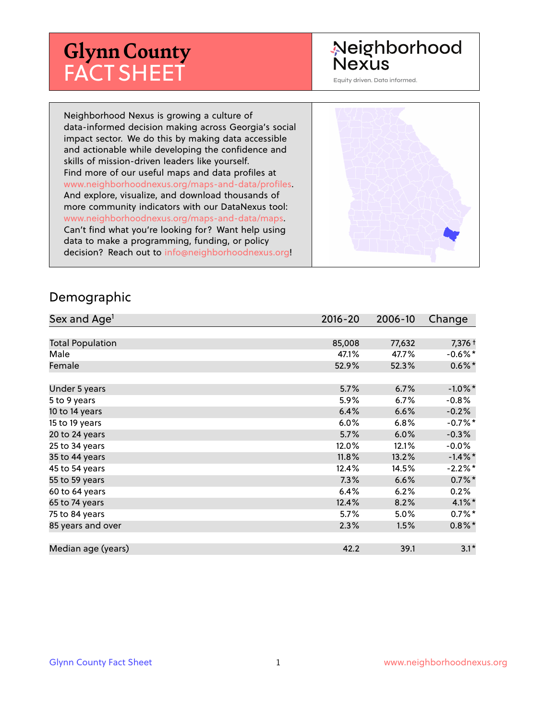# **Glynn County** FACT SHEET

# Neighborhood Nexus

Equity driven. Data informed.

Neighborhood Nexus is growing a culture of data-informed decision making across Georgia's social impact sector. We do this by making data accessible and actionable while developing the confidence and skills of mission-driven leaders like yourself. Find more of our useful maps and data profiles at www.neighborhoodnexus.org/maps-and-data/profiles. And explore, visualize, and download thousands of more community indicators with our DataNexus tool: www.neighborhoodnexus.org/maps-and-data/maps. Can't find what you're looking for? Want help using data to make a programming, funding, or policy decision? Reach out to [info@neighborhoodnexus.org!](mailto:info@neighborhoodnexus.org)



#### Demographic

| Sex and Age <sup>1</sup> | $2016 - 20$ | 2006-10 | Change               |
|--------------------------|-------------|---------|----------------------|
|                          |             |         |                      |
| <b>Total Population</b>  | 85,008      | 77,632  | 7,376 +              |
| Male                     | 47.1%       | 47.7%   | $-0.6\%$ *           |
| Female                   | 52.9%       | 52.3%   | $0.6\%$ <sup>*</sup> |
|                          |             |         |                      |
| Under 5 years            | 5.7%        | 6.7%    | $-1.0\%$ *           |
| 5 to 9 years             | 5.9%        | 6.7%    | $-0.8%$              |
| 10 to 14 years           | 6.4%        | 6.6%    | $-0.2%$              |
| 15 to 19 years           | 6.0%        | 6.8%    | $-0.7%$ *            |
| 20 to 24 years           | 5.7%        | 6.0%    | $-0.3%$              |
| 25 to 34 years           | 12.0%       | 12.1%   | $-0.0%$              |
| 35 to 44 years           | 11.8%       | 13.2%   | $-1.4\%$ *           |
| 45 to 54 years           | 12.4%       | 14.5%   | $-2.2%$ *            |
| 55 to 59 years           | 7.3%        | 6.6%    | $0.7\%$ *            |
| 60 to 64 years           | 6.4%        | 6.2%    | 0.2%                 |
| 65 to 74 years           | 12.4%       | 8.2%    | $4.1\%$ *            |
| 75 to 84 years           | 5.7%        | 5.0%    | $0.7\%$ *            |
| 85 years and over        | 2.3%        | 1.5%    | $0.8\%$ *            |
|                          |             |         |                      |
| Median age (years)       | 42.2        | 39.1    | $3.1*$               |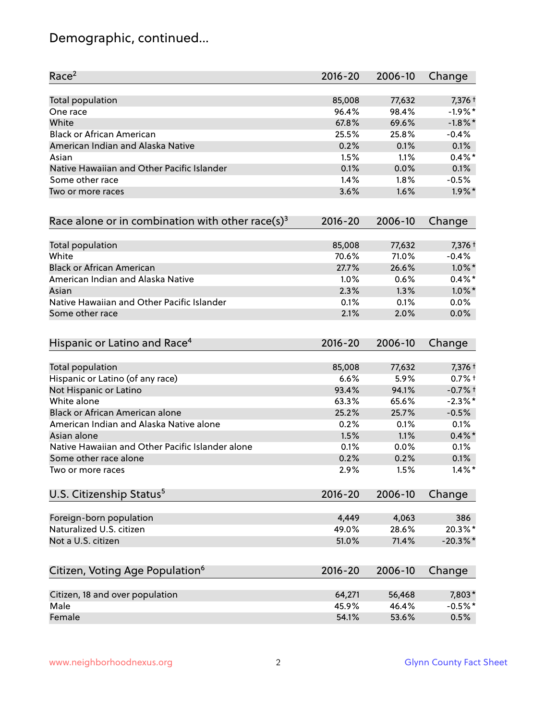# Demographic, continued...

| Race <sup>2</sup>                                            | $2016 - 20$ | 2006-10 | Change     |
|--------------------------------------------------------------|-------------|---------|------------|
| <b>Total population</b>                                      | 85,008      | 77,632  | 7,376 +    |
| One race                                                     | 96.4%       | 98.4%   | $-1.9%$ *  |
| White                                                        | 67.8%       | 69.6%   | $-1.8\%$ * |
| <b>Black or African American</b>                             | 25.5%       | 25.8%   | $-0.4%$    |
| American Indian and Alaska Native                            | 0.2%        | 0.1%    | 0.1%       |
| Asian                                                        | 1.5%        | 1.1%    | $0.4\%$ *  |
| Native Hawaiian and Other Pacific Islander                   | 0.1%        | 0.0%    | 0.1%       |
| Some other race                                              | 1.4%        | 1.8%    | $-0.5%$    |
| Two or more races                                            | 3.6%        | 1.6%    | $1.9\%$ *  |
| Race alone or in combination with other race(s) <sup>3</sup> | $2016 - 20$ | 2006-10 | Change     |
| Total population                                             | 85,008      | 77,632  | 7,376 +    |
| White                                                        | 70.6%       | 71.0%   | $-0.4%$    |
| <b>Black or African American</b>                             | 27.7%       | 26.6%   | $1.0\%$ *  |
| American Indian and Alaska Native                            | 1.0%        | 0.6%    | $0.4\%$ *  |
| Asian                                                        | 2.3%        | 1.3%    | $1.0\%$ *  |
| Native Hawaiian and Other Pacific Islander                   | 0.1%        | 0.1%    | 0.0%       |
| Some other race                                              | 2.1%        | 2.0%    | 0.0%       |
| Hispanic or Latino and Race <sup>4</sup>                     | $2016 - 20$ | 2006-10 | Change     |
| Total population                                             | 85,008      | 77,632  | 7,376 +    |
| Hispanic or Latino (of any race)                             | 6.6%        | 5.9%    | $0.7%$ +   |
| Not Hispanic or Latino                                       | 93.4%       | 94.1%   | $-0.7%$ †  |
| White alone                                                  | 63.3%       | 65.6%   | $-2.3\%$ * |
| Black or African American alone                              | 25.2%       | 25.7%   | $-0.5%$    |
| American Indian and Alaska Native alone                      | 0.2%        | 0.1%    | 0.1%       |
| Asian alone                                                  | 1.5%        | 1.1%    | $0.4\% *$  |
| Native Hawaiian and Other Pacific Islander alone             | 0.1%        | 0.0%    | 0.1%       |
| Some other race alone                                        | 0.2%        | 0.2%    | 0.1%       |
| Two or more races                                            | 2.9%        | 1.5%    | $1.4\%$ *  |
| U.S. Citizenship Status <sup>5</sup>                         | $2016 - 20$ | 2006-10 | Change     |
| Foreign-born population                                      | 4,449       | 4,063   | 386        |
| Naturalized U.S. citizen                                     | 49.0%       | 28.6%   | 20.3%*     |
| Not a U.S. citizen                                           | 51.0%       | 71.4%   | $-20.3%$ * |
| Citizen, Voting Age Population <sup>6</sup>                  | $2016 - 20$ | 2006-10 | Change     |
|                                                              |             |         |            |
| Citizen, 18 and over population                              | 64,271      | 56,468  | 7,803*     |
| Male                                                         | 45.9%       | 46.4%   | $-0.5%$ *  |
| Female                                                       | 54.1%       | 53.6%   | 0.5%       |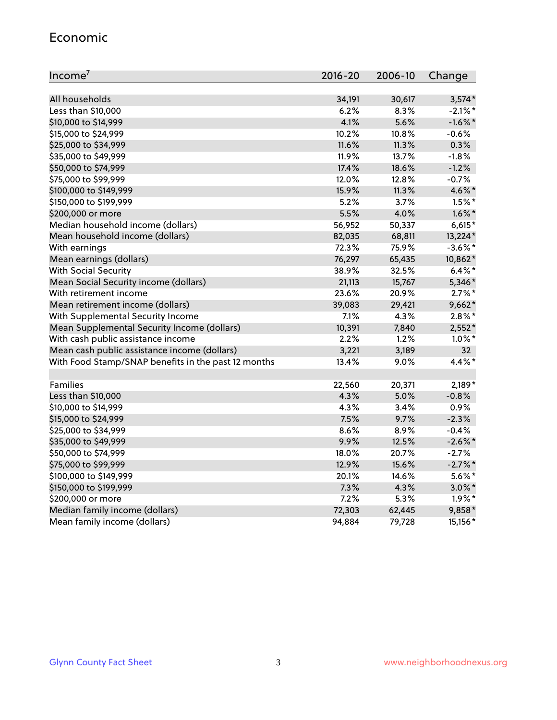#### Economic

| Income <sup>7</sup>                                 | $2016 - 20$ | 2006-10 | Change          |
|-----------------------------------------------------|-------------|---------|-----------------|
|                                                     |             |         |                 |
| All households                                      | 34,191      | 30,617  | $3,574*$        |
| Less than \$10,000                                  | 6.2%        | 8.3%    | $-2.1\%$ *      |
| \$10,000 to \$14,999                                | 4.1%        | 5.6%    | $-1.6\%$ *      |
| \$15,000 to \$24,999                                | 10.2%       | 10.8%   | $-0.6%$         |
| \$25,000 to \$34,999                                | 11.6%       | 11.3%   | 0.3%            |
| \$35,000 to \$49,999                                | 11.9%       | 13.7%   | $-1.8%$         |
| \$50,000 to \$74,999                                | 17.4%       | 18.6%   | $-1.2%$         |
| \$75,000 to \$99,999                                | 12.0%       | 12.8%   | $-0.7%$         |
| \$100,000 to \$149,999                              | 15.9%       | 11.3%   | 4.6%*           |
| \$150,000 to \$199,999                              | 5.2%        | 3.7%    | $1.5\%$ *       |
| \$200,000 or more                                   | 5.5%        | 4.0%    | $1.6\%$ *       |
| Median household income (dollars)                   | 56,952      | 50,337  | $6,615*$        |
| Mean household income (dollars)                     | 82,035      | 68,811  | 13,224*         |
| With earnings                                       | 72.3%       | 75.9%   | $-3.6\%$ *      |
| Mean earnings (dollars)                             | 76,297      | 65,435  | 10,862*         |
| <b>With Social Security</b>                         | 38.9%       | 32.5%   | $6.4\%$ *       |
| Mean Social Security income (dollars)               | 21,113      | 15,767  | 5,346*          |
| With retirement income                              | 23.6%       | 20.9%   | $2.7\%$ *       |
| Mean retirement income (dollars)                    | 39,083      | 29,421  | $9,662*$        |
| With Supplemental Security Income                   | 7.1%        | 4.3%    | $2.8\%$ *       |
| Mean Supplemental Security Income (dollars)         | 10,391      | 7,840   | $2,552*$        |
| With cash public assistance income                  | 2.2%        | 1.2%    | $1.0\%$ *       |
| Mean cash public assistance income (dollars)        | 3,221       | 3,189   | 32 <sub>2</sub> |
| With Food Stamp/SNAP benefits in the past 12 months | 13.4%       | 9.0%    | 4.4%*           |
|                                                     |             |         |                 |
| Families                                            | 22,560      | 20,371  | $2,189*$        |
| Less than \$10,000                                  | 4.3%        | 5.0%    | $-0.8%$         |
| \$10,000 to \$14,999                                | 4.3%        | 3.4%    | 0.9%            |
| \$15,000 to \$24,999                                | 7.5%        | 9.7%    | $-2.3%$         |
| \$25,000 to \$34,999                                | 8.6%        | 8.9%    | $-0.4%$         |
| \$35,000 to \$49,999                                | 9.9%        | 12.5%   | $-2.6\%$ *      |
| \$50,000 to \$74,999                                | 18.0%       | 20.7%   | $-2.7%$         |
| \$75,000 to \$99,999                                | 12.9%       | 15.6%   | $-2.7%$         |
| \$100,000 to \$149,999                              | 20.1%       | 14.6%   | $5.6\%$ *       |
| \$150,000 to \$199,999                              | 7.3%        | 4.3%    | $3.0\%$ *       |
| \$200,000 or more                                   | 7.2%        | 5.3%    | $1.9\%$ *       |
| Median family income (dollars)                      | 72,303      | 62,445  | 9,858*          |
| Mean family income (dollars)                        | 94,884      | 79,728  | 15,156*         |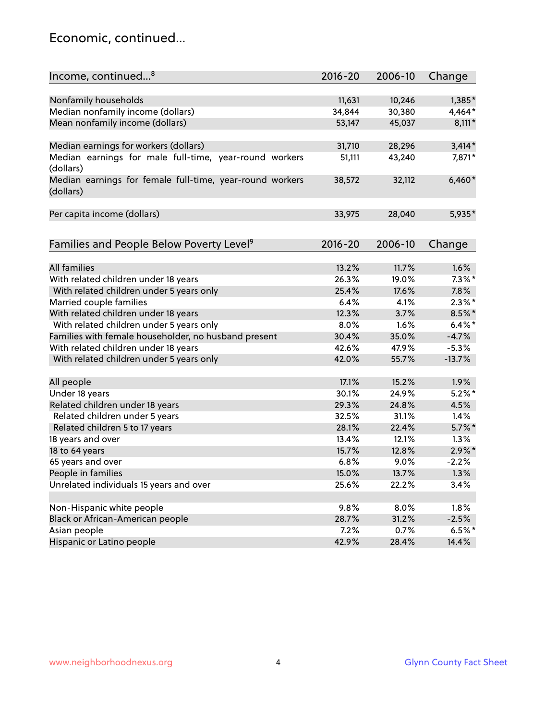### Economic, continued...

| Income, continued <sup>8</sup>                                        | $2016 - 20$ | 2006-10 | Change    |
|-----------------------------------------------------------------------|-------------|---------|-----------|
|                                                                       |             |         |           |
| Nonfamily households                                                  | 11,631      | 10,246  | 1,385*    |
| Median nonfamily income (dollars)                                     | 34,844      | 30,380  | 4,464*    |
| Mean nonfamily income (dollars)                                       | 53,147      | 45,037  | $8,111*$  |
| Median earnings for workers (dollars)                                 | 31,710      | 28,296  | $3,414*$  |
| Median earnings for male full-time, year-round workers<br>(dollars)   | 51,111      | 43,240  | 7,871*    |
| Median earnings for female full-time, year-round workers<br>(dollars) | 38,572      | 32,112  | $6,460*$  |
| Per capita income (dollars)                                           | 33,975      | 28,040  | 5,935*    |
| Families and People Below Poverty Level <sup>9</sup>                  | $2016 - 20$ | 2006-10 | Change    |
|                                                                       |             |         |           |
| <b>All families</b>                                                   | 13.2%       | 11.7%   | 1.6%      |
| With related children under 18 years                                  | 26.3%       | 19.0%   | $7.3\%$ * |
| With related children under 5 years only                              | 25.4%       | 17.6%   | 7.8%      |
| Married couple families                                               | 6.4%        | 4.1%    | $2.3\%$ * |
| With related children under 18 years                                  | 12.3%       | 3.7%    | $8.5\%$ * |
| With related children under 5 years only                              | 8.0%        | 1.6%    | $6.4\%$ * |
| Families with female householder, no husband present                  | 30.4%       | 35.0%   | $-4.7%$   |
| With related children under 18 years                                  | 42.6%       | 47.9%   | $-5.3%$   |
| With related children under 5 years only                              | 42.0%       | 55.7%   | $-13.7%$  |
| All people                                                            | 17.1%       | 15.2%   | 1.9%      |
| Under 18 years                                                        | 30.1%       | 24.9%   | $5.2\%$ * |
| Related children under 18 years                                       | 29.3%       | 24.8%   | 4.5%      |
| Related children under 5 years                                        | 32.5%       | 31.1%   | 1.4%      |
| Related children 5 to 17 years                                        | 28.1%       | 22.4%   | $5.7\%$ * |
| 18 years and over                                                     | 13.4%       | 12.1%   | 1.3%      |
| 18 to 64 years                                                        | 15.7%       | 12.8%   | $2.9\%$ * |
| 65 years and over                                                     | 6.8%        | 9.0%    | $-2.2%$   |
| People in families                                                    | 15.0%       | 13.7%   | 1.3%      |
| Unrelated individuals 15 years and over                               | 25.6%       | 22.2%   | 3.4%      |
|                                                                       |             |         |           |
| Non-Hispanic white people                                             | 9.8%        | 8.0%    | 1.8%      |
| Black or African-American people                                      | 28.7%       | 31.2%   | $-2.5%$   |
| Asian people                                                          | 7.2%        | 0.7%    | $6.5%$ *  |
| Hispanic or Latino people                                             | 42.9%       | 28.4%   | 14.4%     |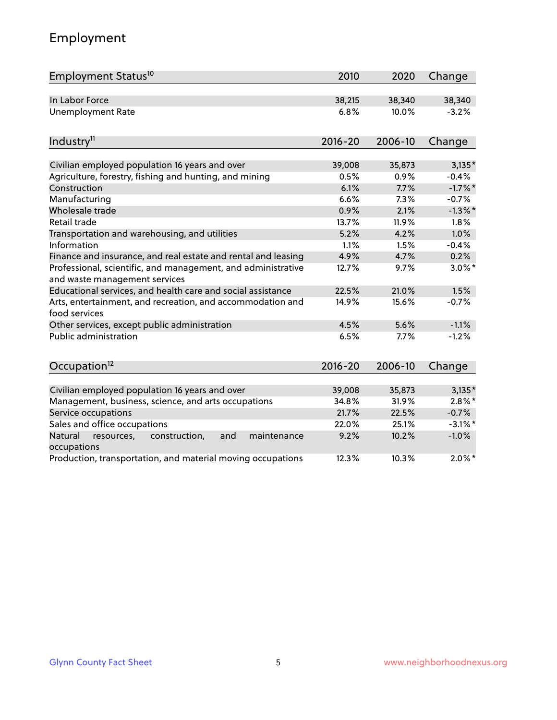# Employment

| Employment Status <sup>10</sup>                                                               | 2010        | 2020    | Change     |
|-----------------------------------------------------------------------------------------------|-------------|---------|------------|
| In Labor Force                                                                                | 38,215      | 38,340  | 38,340     |
| <b>Unemployment Rate</b>                                                                      | 6.8%        | 10.0%   | $-3.2%$    |
| Industry <sup>11</sup>                                                                        | $2016 - 20$ | 2006-10 | Change     |
| Civilian employed population 16 years and over                                                | 39,008      | 35,873  | $3,135*$   |
| Agriculture, forestry, fishing and hunting, and mining                                        | 0.5%        | 0.9%    | $-0.4%$    |
| Construction                                                                                  | 6.1%        | 7.7%    | $-1.7%$ *  |
| Manufacturing                                                                                 | 6.6%        | 7.3%    | $-0.7%$    |
| Wholesale trade                                                                               | 0.9%        | 2.1%    | $-1.3\%$ * |
| Retail trade                                                                                  | 13.7%       | 11.9%   | 1.8%       |
| Transportation and warehousing, and utilities                                                 | 5.2%        | 4.2%    | 1.0%       |
| Information                                                                                   | 1.1%        | 1.5%    | $-0.4%$    |
| Finance and insurance, and real estate and rental and leasing                                 | 4.9%        | 4.7%    | 0.2%       |
| Professional, scientific, and management, and administrative<br>and waste management services | 12.7%       | 9.7%    | $3.0\%$ *  |
| Educational services, and health care and social assistance                                   | 22.5%       | 21.0%   | 1.5%       |
| Arts, entertainment, and recreation, and accommodation and<br>food services                   | 14.9%       | 15.6%   | $-0.7%$    |
| Other services, except public administration                                                  | 4.5%        | 5.6%    | $-1.1%$    |
| <b>Public administration</b>                                                                  | 6.5%        | 7.7%    | $-1.2%$    |
| Occupation <sup>12</sup>                                                                      | $2016 - 20$ | 2006-10 | Change     |
|                                                                                               |             |         |            |
| Civilian employed population 16 years and over                                                | 39,008      | 35,873  | $3,135*$   |
| Management, business, science, and arts occupations                                           | 34.8%       | 31.9%   | $2.8\%$ *  |
| Service occupations                                                                           | 21.7%       | 22.5%   | $-0.7%$    |
| Sales and office occupations                                                                  | 22.0%       | 25.1%   | $-3.1\%$ * |
| Natural<br>resources,<br>construction,<br>and<br>maintenance<br>occupations                   | 9.2%        | 10.2%   | $-1.0%$    |
| Production, transportation, and material moving occupations                                   | 12.3%       | 10.3%   | $2.0\%$ *  |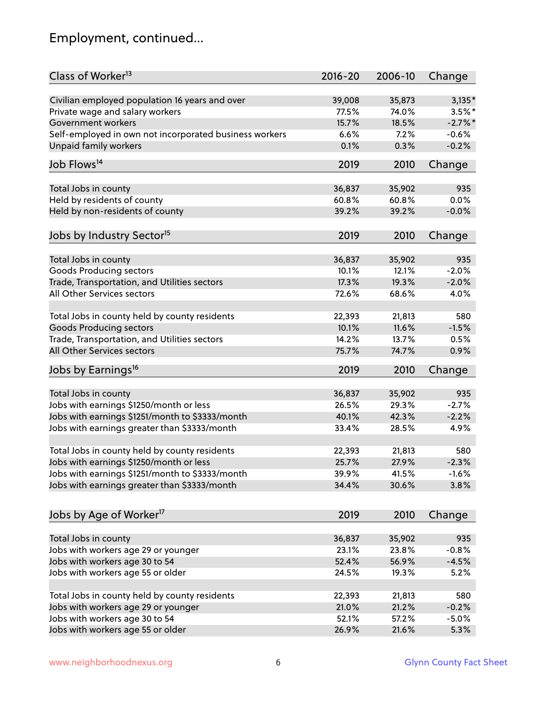# Employment, continued...

| Class of Worker <sup>13</sup>                          | $2016 - 20$ | 2006-10 | Change    |
|--------------------------------------------------------|-------------|---------|-----------|
| Civilian employed population 16 years and over         | 39,008      | 35,873  | $3,135*$  |
| Private wage and salary workers                        | 77.5%       | 74.0%   | $3.5%$ *  |
| Government workers                                     | 15.7%       | 18.5%   | $-2.7%$ * |
| Self-employed in own not incorporated business workers | 6.6%        | 7.2%    | $-0.6%$   |
| <b>Unpaid family workers</b>                           | 0.1%        | 0.3%    | $-0.2%$   |
|                                                        |             |         |           |
| Job Flows <sup>14</sup>                                | 2019        | 2010    | Change    |
| Total Jobs in county                                   | 36,837      | 35,902  | 935       |
| Held by residents of county                            | 60.8%       | 60.8%   | 0.0%      |
| Held by non-residents of county                        | 39.2%       | 39.2%   | $-0.0%$   |
| Jobs by Industry Sector <sup>15</sup>                  | 2019        | 2010    | Change    |
|                                                        |             |         |           |
| Total Jobs in county                                   | 36,837      | 35,902  | 935       |
| Goods Producing sectors                                | 10.1%       | 12.1%   | $-2.0%$   |
| Trade, Transportation, and Utilities sectors           | 17.3%       | 19.3%   | $-2.0%$   |
| All Other Services sectors                             | 72.6%       | 68.6%   | 4.0%      |
| Total Jobs in county held by county residents          | 22,393      | 21,813  | 580       |
| <b>Goods Producing sectors</b>                         | 10.1%       | 11.6%   | $-1.5%$   |
| Trade, Transportation, and Utilities sectors           | 14.2%       | 13.7%   | 0.5%      |
| All Other Services sectors                             | 75.7%       | 74.7%   | 0.9%      |
| Jobs by Earnings <sup>16</sup>                         | 2019        | 2010    | Change    |
| Total Jobs in county                                   | 36,837      | 35,902  | 935       |
| Jobs with earnings \$1250/month or less                | 26.5%       | 29.3%   | $-2.7%$   |
| Jobs with earnings \$1251/month to \$3333/month        | 40.1%       | 42.3%   | $-2.2%$   |
| Jobs with earnings greater than \$3333/month           | 33.4%       |         | 4.9%      |
|                                                        |             | 28.5%   |           |
| Total Jobs in county held by county residents          | 22,393      | 21,813  | 580       |
| Jobs with earnings \$1250/month or less                | 25.7%       | 27.9%   | $-2.3%$   |
| Jobs with earnings \$1251/month to \$3333/month        | 39.9%       | 41.5%   | $-1.6\%$  |
| Jobs with earnings greater than \$3333/month           | 34.4%       | 30.6%   | 3.8%      |
| Jobs by Age of Worker <sup>17</sup>                    | 2019        | 2010    | Change    |
|                                                        |             |         |           |
| Total Jobs in county                                   | 36,837      | 35,902  | 935       |
| Jobs with workers age 29 or younger                    | 23.1%       | 23.8%   | $-0.8%$   |
| Jobs with workers age 30 to 54                         | 52.4%       | 56.9%   | $-4.5%$   |
| Jobs with workers age 55 or older                      | 24.5%       | 19.3%   | 5.2%      |
| Total Jobs in county held by county residents          | 22,393      | 21,813  | 580       |
| Jobs with workers age 29 or younger                    | 21.0%       | 21.2%   | $-0.2%$   |
| Jobs with workers age 30 to 54                         | 52.1%       | 57.2%   | $-5.0%$   |
| Jobs with workers age 55 or older                      | 26.9%       | 21.6%   | 5.3%      |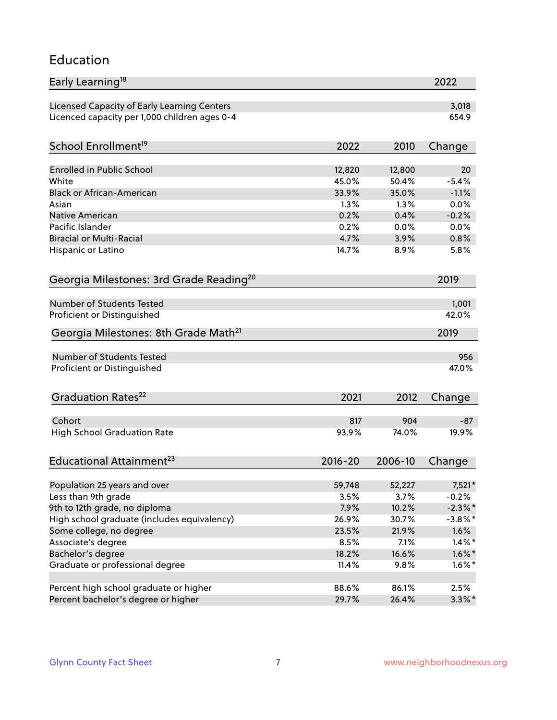#### Education

| Early Learning <sup>18</sup>                        |             |         | 2022       |
|-----------------------------------------------------|-------------|---------|------------|
| Licensed Capacity of Early Learning Centers         |             |         | 3,018      |
| Licenced capacity per 1,000 children ages 0-4       |             |         | 654.9      |
| School Enrollment <sup>19</sup>                     | 2022        | 2010    | Change     |
|                                                     |             |         |            |
| <b>Enrolled in Public School</b>                    | 12,820      | 12,800  | 20         |
| White                                               | 45.0%       | 50.4%   | $-5.4%$    |
| <b>Black or African-American</b>                    | 33.9%       | 35.0%   | $-1.1%$    |
| Asian                                               | 1.3%        | 1.3%    | 0.0%       |
| Native American                                     | 0.2%        | 0.4%    | $-0.2%$    |
| Pacific Islander                                    | 0.2%        | 0.0%    | 0.0%       |
| <b>Biracial or Multi-Racial</b>                     | 4.7%        | 3.9%    | 0.8%       |
| Hispanic or Latino                                  | 14.7%       | 8.9%    | 5.8%       |
| Georgia Milestones: 3rd Grade Reading <sup>20</sup> |             |         | 2019       |
|                                                     |             |         |            |
| Number of Students Tested                           |             |         | 1,001      |
| Proficient or Distinguished                         |             |         | 42.0%      |
| Georgia Milestones: 8th Grade Math <sup>21</sup>    |             |         | 2019       |
| Number of Students Tested                           |             |         | 956        |
| Proficient or Distinguished                         |             |         | 47.0%      |
|                                                     |             |         |            |
| Graduation Rates <sup>22</sup>                      | 2021        | 2012    | Change     |
| Cohort                                              | 817         | 904     | $-87$      |
| <b>High School Graduation Rate</b>                  | 93.9%       | 74.0%   | 19.9%      |
|                                                     |             |         |            |
| Educational Attainment <sup>23</sup>                | $2016 - 20$ | 2006-10 | Change     |
|                                                     |             |         |            |
| Population 25 years and over                        | 59,748      | 52,227  | 7,521*     |
| Less than 9th grade                                 | 3.5%        | 3.7%    | $-0.2%$    |
| 9th to 12th grade, no diploma                       | 7.9%        | 10.2%   | $-2.3\%$ * |
| High school graduate (includes equivalency)         | 26.9%       | 30.7%   | $-3.8\%$ * |
| Some college, no degree                             | 23.5%       | 21.9%   | 1.6%       |
| Associate's degree                                  | 8.5%        | 7.1%    | $1.4\%$ *  |
| Bachelor's degree                                   | 18.2%       | 16.6%   | $1.6\%$ *  |
| Graduate or professional degree                     | 11.4%       | 9.8%    | $1.6\%$ *  |
| Percent high school graduate or higher              | 88.6%       | 86.1%   | 2.5%       |
| Percent bachelor's degree or higher                 | 29.7%       | 26.4%   | $3.3\%$ *  |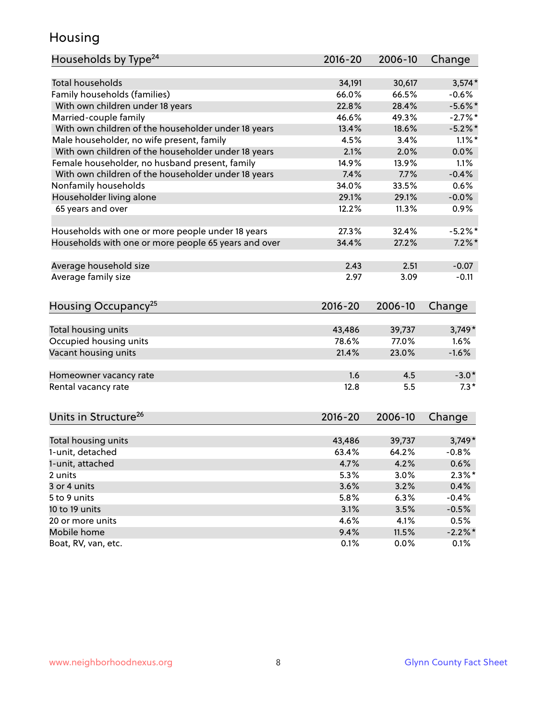### Housing

| Households by Type <sup>24</sup>                     | 2016-20     | 2006-10 | Change     |
|------------------------------------------------------|-------------|---------|------------|
|                                                      |             |         |            |
| <b>Total households</b>                              | 34,191      | 30,617  | $3,574*$   |
| Family households (families)                         | 66.0%       | 66.5%   | $-0.6%$    |
| With own children under 18 years                     | 22.8%       | 28.4%   | $-5.6\%$ * |
| Married-couple family                                | 46.6%       | 49.3%   | $-2.7%$ *  |
| With own children of the householder under 18 years  | 13.4%       | 18.6%   | $-5.2\%$ * |
| Male householder, no wife present, family            | 4.5%        | 3.4%    | $1.1\%$ *  |
| With own children of the householder under 18 years  | 2.1%        | 2.0%    | 0.0%       |
| Female householder, no husband present, family       | 14.9%       | 13.9%   | 1.1%       |
| With own children of the householder under 18 years  | 7.4%        | 7.7%    | $-0.4%$    |
| Nonfamily households                                 | 34.0%       | 33.5%   | 0.6%       |
| Householder living alone                             | 29.1%       | 29.1%   | $-0.0%$    |
| 65 years and over                                    | 12.2%       | 11.3%   | 0.9%       |
|                                                      |             |         |            |
| Households with one or more people under 18 years    | 27.3%       | 32.4%   | $-5.2%$ *  |
| Households with one or more people 65 years and over | 34.4%       | 27.2%   | $7.2\%$ *  |
|                                                      |             |         |            |
| Average household size                               | 2.43        | 2.51    | $-0.07$    |
| Average family size                                  | 2.97        | 3.09    | $-0.11$    |
|                                                      |             |         |            |
| Housing Occupancy <sup>25</sup>                      | $2016 - 20$ | 2006-10 | Change     |
|                                                      |             |         |            |
| Total housing units                                  | 43,486      | 39,737  | $3,749*$   |
| Occupied housing units                               | 78.6%       | 77.0%   | 1.6%       |
| Vacant housing units                                 | 21.4%       | 23.0%   | $-1.6%$    |
|                                                      | 1.6         | 4.5     | $-3.0*$    |
| Homeowner vacancy rate                               | 12.8        | 5.5     | $7.3*$     |
| Rental vacancy rate                                  |             |         |            |
| Units in Structure <sup>26</sup>                     | $2016 - 20$ | 2006-10 | Change     |
|                                                      |             |         |            |
| Total housing units                                  | 43,486      | 39,737  | $3,749*$   |
| 1-unit, detached                                     | 63.4%       | 64.2%   | $-0.8%$    |
| 1-unit, attached                                     | 4.7%        | 4.2%    | 0.6%       |
| 2 units                                              | 5.3%        | 3.0%    | $2.3\%$ *  |
| 3 or 4 units                                         | 3.6%        | 3.2%    | 0.4%       |
| 5 to 9 units                                         | 5.8%        | 6.3%    | $-0.4%$    |
| 10 to 19 units                                       | 3.1%        | 3.5%    | $-0.5%$    |
| 20 or more units                                     | 4.6%        | 4.1%    | 0.5%       |
| Mobile home                                          | 9.4%        | 11.5%   | $-2.2\%$ * |
| Boat, RV, van, etc.                                  | 0.1%        | 0.0%    | 0.1%       |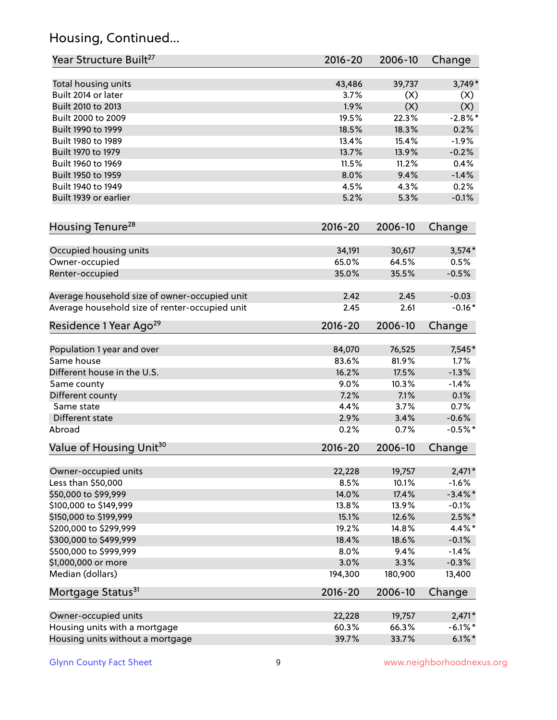# Housing, Continued...

| Year Structure Built <sup>27</sup>             | 2016-20     | 2006-10 | Change     |
|------------------------------------------------|-------------|---------|------------|
| Total housing units                            | 43,486      | 39,737  | $3,749*$   |
| Built 2014 or later                            | 3.7%        | (X)     | (X)        |
| Built 2010 to 2013                             | 1.9%        | (X)     | (X)        |
| Built 2000 to 2009                             | 19.5%       | 22.3%   | $-2.8\%$ * |
| Built 1990 to 1999                             | 18.5%       | 18.3%   | 0.2%       |
| Built 1980 to 1989                             | 13.4%       | 15.4%   | $-1.9%$    |
| Built 1970 to 1979                             | 13.7%       | 13.9%   | $-0.2%$    |
| Built 1960 to 1969                             | 11.5%       | 11.2%   | 0.4%       |
| Built 1950 to 1959                             | 8.0%        | 9.4%    | $-1.4%$    |
| Built 1940 to 1949                             | 4.5%        | 4.3%    | 0.2%       |
| Built 1939 or earlier                          | 5.2%        | 5.3%    | $-0.1%$    |
| Housing Tenure <sup>28</sup>                   | $2016 - 20$ | 2006-10 | Change     |
| Occupied housing units                         | 34,191      | 30,617  | $3,574*$   |
| Owner-occupied                                 | 65.0%       | 64.5%   | 0.5%       |
| Renter-occupied                                | 35.0%       | 35.5%   | $-0.5%$    |
| Average household size of owner-occupied unit  | 2.42        | 2.45    | $-0.03$    |
| Average household size of renter-occupied unit | 2.45        | 2.61    | $-0.16*$   |
| Residence 1 Year Ago <sup>29</sup>             | $2016 - 20$ | 2006-10 | Change     |
| Population 1 year and over                     | 84,070      | 76,525  | 7,545*     |
| Same house                                     | 83.6%       | 81.9%   | 1.7%       |
| Different house in the U.S.                    | 16.2%       | 17.5%   | $-1.3%$    |
| Same county                                    | 9.0%        | 10.3%   | $-1.4%$    |
| Different county                               | 7.2%        | 7.1%    | 0.1%       |
| Same state                                     | 4.4%        | 3.7%    | 0.7%       |
| Different state                                | 2.9%        | 3.4%    | $-0.6%$    |
| Abroad                                         | 0.2%        | 0.7%    | $-0.5%$ *  |
| Value of Housing Unit <sup>30</sup>            | $2016 - 20$ | 2006-10 | Change     |
| Owner-occupied units                           | 22,228      | 19,757  | $2,471*$   |
| Less than \$50,000                             | 8.5%        | 10.1%   | $-1.6%$    |
| \$50,000 to \$99,999                           | 14.0%       | 17.4%   | $-3.4\%$ * |
| \$100,000 to \$149,999                         | 13.8%       | 13.9%   | $-0.1%$    |
| \$150,000 to \$199,999                         | 15.1%       | 12.6%   | $2.5\%$ *  |
| \$200,000 to \$299,999                         | 19.2%       | 14.8%   | 4.4%*      |
| \$300,000 to \$499,999                         | 18.4%       | 18.6%   | $-0.1%$    |
| \$500,000 to \$999,999                         | 8.0%        | 9.4%    | $-1.4%$    |
| \$1,000,000 or more                            | 3.0%        | 3.3%    | $-0.3%$    |
| Median (dollars)                               | 194,300     | 180,900 | 13,400     |
| Mortgage Status <sup>31</sup>                  | $2016 - 20$ | 2006-10 | Change     |
| Owner-occupied units                           | 22,228      | 19,757  | $2,471*$   |
| Housing units with a mortgage                  | 60.3%       | 66.3%   | $-6.1\%$ * |
| Housing units without a mortgage               | 39.7%       | 33.7%   | $6.1\%$ *  |
|                                                |             |         |            |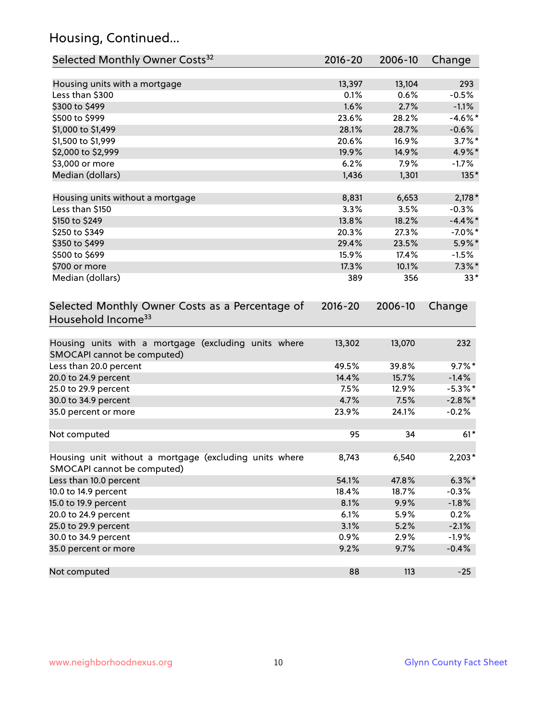# Housing, Continued...

| Selected Monthly Owner Costs <sup>32</sup>                                            | 2016-20     | 2006-10 | Change     |
|---------------------------------------------------------------------------------------|-------------|---------|------------|
| Housing units with a mortgage                                                         | 13,397      | 13,104  | 293        |
| Less than \$300                                                                       | 0.1%        | 0.6%    | $-0.5%$    |
| \$300 to \$499                                                                        | 1.6%        | 2.7%    | $-1.1%$    |
| \$500 to \$999                                                                        | 23.6%       | 28.2%   | $-4.6\%$ * |
| \$1,000 to \$1,499                                                                    | 28.1%       | 28.7%   | $-0.6%$    |
| \$1,500 to \$1,999                                                                    | 20.6%       | 16.9%   | $3.7\%$ *  |
| \$2,000 to \$2,999                                                                    | 19.9%       | 14.9%   | 4.9%*      |
| \$3,000 or more                                                                       | 6.2%        | 7.9%    | $-1.7%$    |
| Median (dollars)                                                                      | 1,436       | 1,301   | 135*       |
| Housing units without a mortgage                                                      | 8,831       | 6,653   | $2,178*$   |
| Less than \$150                                                                       | 3.3%        | 3.5%    | $-0.3%$    |
| \$150 to \$249                                                                        | 13.8%       | 18.2%   | $-4.4\%$ * |
| \$250 to \$349                                                                        | 20.3%       | 27.3%   | $-7.0\%$ * |
| \$350 to \$499                                                                        | 29.4%       | 23.5%   | 5.9%*      |
| \$500 to \$699                                                                        | 15.9%       | 17.4%   | $-1.5%$    |
| \$700 or more                                                                         | 17.3%       | 10.1%   | $7.3\%$ *  |
| Median (dollars)                                                                      | 389         | 356     | $33*$      |
| Selected Monthly Owner Costs as a Percentage of<br>Household Income <sup>33</sup>     | $2016 - 20$ | 2006-10 | Change     |
| Housing units with a mortgage (excluding units where<br>SMOCAPI cannot be computed)   | 13,302      | 13,070  | 232        |
| Less than 20.0 percent                                                                | 49.5%       | 39.8%   | $9.7\%$ *  |
| 20.0 to 24.9 percent                                                                  | 14.4%       | 15.7%   | $-1.4%$    |
| 25.0 to 29.9 percent                                                                  | 7.5%        | 12.9%   | $-5.3\%$ * |
| 30.0 to 34.9 percent                                                                  | 4.7%        | 7.5%    | $-2.8\%$ * |
| 35.0 percent or more                                                                  | 23.9%       | 24.1%   | $-0.2%$    |
| Not computed                                                                          | 95          | 34      | $61*$      |
| Housing unit without a mortgage (excluding units where<br>SMOCAPI cannot be computed) | 8,743       | 6,540   | $2,203*$   |
| Less than 10.0 percent                                                                | 54.1%       | 47.8%   | $6.3\% *$  |
| 10.0 to 14.9 percent                                                                  | 18.4%       | 18.7%   | $-0.3%$    |
| 15.0 to 19.9 percent                                                                  | 8.1%        | 9.9%    | $-1.8%$    |
| 20.0 to 24.9 percent                                                                  | 6.1%        | 5.9%    | 0.2%       |
| 25.0 to 29.9 percent                                                                  | 3.1%        | 5.2%    | $-2.1%$    |
| 30.0 to 34.9 percent                                                                  | 0.9%        | 2.9%    | $-1.9%$    |
| 35.0 percent or more                                                                  | 9.2%        | 9.7%    | $-0.4%$    |
| Not computed                                                                          | 88          | 113     | $-25$      |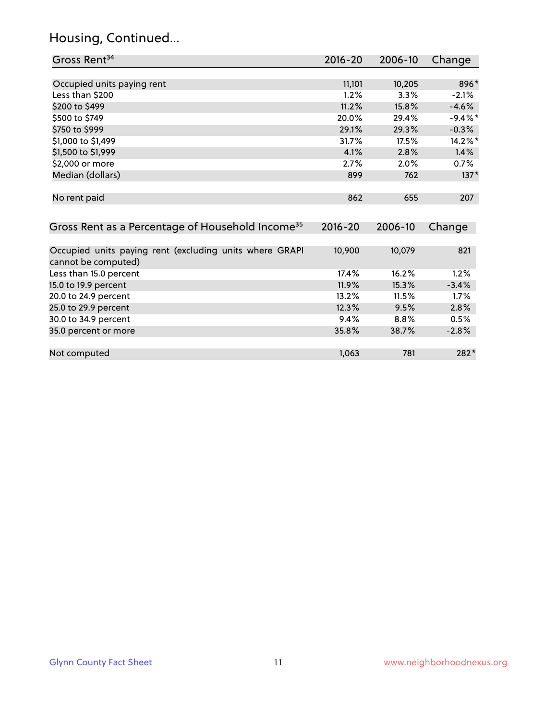# Housing, Continued...

| Gross Rent <sup>34</sup>                                                       | 2016-20     | $2006 - 10$ | Change     |
|--------------------------------------------------------------------------------|-------------|-------------|------------|
|                                                                                |             |             |            |
| Occupied units paying rent                                                     | 11,101      | 10,205      | 896*       |
| Less than \$200                                                                | 1.2%        | 3.3%        | $-2.1%$    |
| \$200 to \$499                                                                 | 11.2%       | 15.8%       | $-4.6%$    |
| \$500 to \$749                                                                 | 20.0%       | 29.4%       | $-9.4\%$ * |
| \$750 to \$999                                                                 | 29.1%       | 29.3%       | $-0.3%$    |
| \$1,000 to \$1,499                                                             | 31.7%       | 17.5%       | 14.2%*     |
| \$1,500 to \$1,999                                                             | 4.1%        | 2.8%        | $1.4\%$    |
| \$2,000 or more                                                                | 2.7%        | 2.0%        | 0.7%       |
| Median (dollars)                                                               | 899         | 762         | $137*$     |
| No rent paid                                                                   | 862         | 655         | 207        |
| Gross Rent as a Percentage of Household Income <sup>35</sup>                   | $2016 - 20$ | 2006-10     | Change     |
| Occupied units paying rent (excluding units where GRAPI<br>cannot be computed) | 10,900      | 10,079      | 821        |
| Less than 15.0 percent                                                         | 17.4%       | 16.2%       | 1.2%       |
| 15.0 to 19.9 percent                                                           | 11.9%       | 15.3%       | $-3.4%$    |
| 20.0 to 24.9 percent                                                           | 13.2%       | 11.5%       | 1.7%       |
| 25.0 to 29.9 percent                                                           | 12.3%       | 9.5%        | 2.8%       |
| 30.0 to 34.9 percent                                                           | 9.4%        | 8.8%        | 0.5%       |
| 35.0 percent or more                                                           | 35.8%       | 38.7%       | $-2.8%$    |
|                                                                                |             |             |            |

Not computed and the computed computed computed  $1,063$  781 282<sup>\*</sup>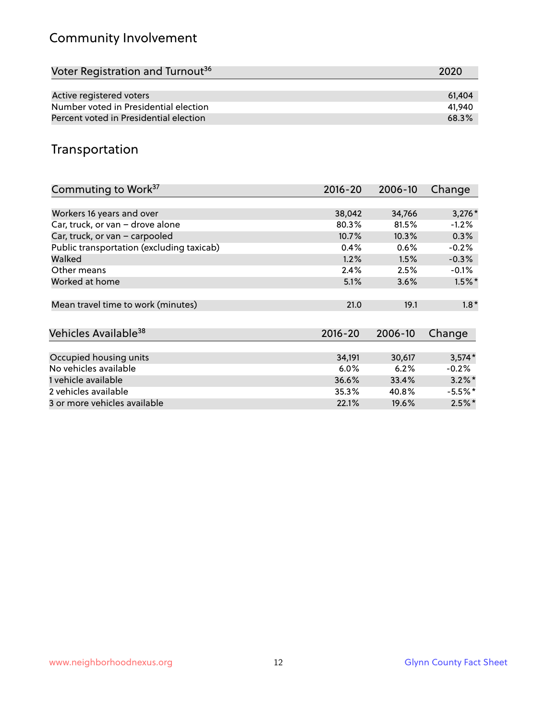# Community Involvement

| Voter Registration and Turnout <sup>36</sup> | 2020   |
|----------------------------------------------|--------|
|                                              |        |
| Active registered voters                     | 61.404 |
| Number voted in Presidential election        | 41.940 |
| Percent voted in Presidential election       | 68.3%  |

### Transportation

| Commuting to Work <sup>37</sup>           | $2016 - 20$ | 2006-10 | Change    |
|-------------------------------------------|-------------|---------|-----------|
|                                           |             |         |           |
| Workers 16 years and over                 | 38,042      | 34,766  | $3,276*$  |
| Car, truck, or van - drove alone          | 80.3%       | 81.5%   | $-1.2%$   |
| Car, truck, or van - carpooled            | 10.7%       | 10.3%   | 0.3%      |
| Public transportation (excluding taxicab) | 0.4%        | 0.6%    | $-0.2%$   |
| Walked                                    | 1.2%        | 1.5%    | $-0.3%$   |
| Other means                               | 2.4%        | 2.5%    | $-0.1%$   |
| Worked at home                            | 5.1%        | 3.6%    | $1.5\%$ * |
| Mean travel time to work (minutes)        | 21.0        | 19.1    | $1.8*$    |
| Vehicles Available <sup>38</sup>          | $2016 - 20$ | 2006-10 | Change    |
|                                           |             |         |           |
| Occupied housing units                    | 34,191      | 30,617  | $3,574*$  |
| No vehicles available                     | 6.0%        | 6.2%    | $-0.2%$   |
| 1 vehicle available                       | 36.6%       | 33.4%   | $3.2\%$ * |
| 2 vehicles available                      | 35.3%       | 40.8%   | $-5.5%$ * |
| 3 or more vehicles available              | 22.1%       | 19.6%   | $2.5\%$ * |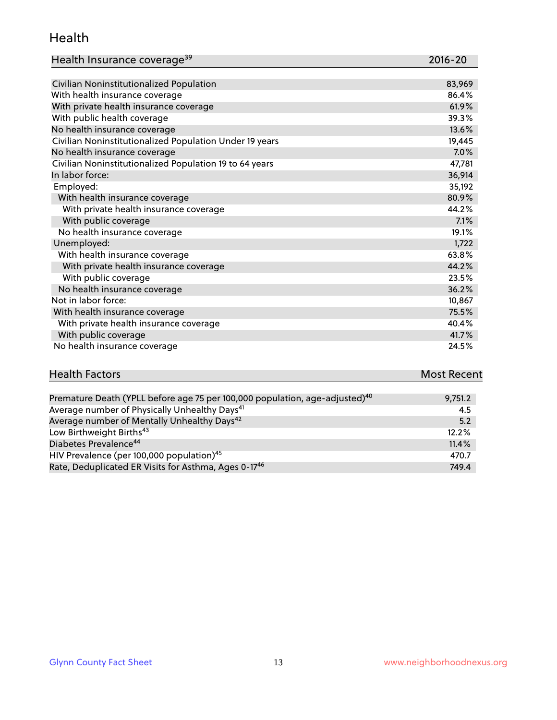#### Health

| Health Insurance coverage <sup>39</sup> | 2016-20 |
|-----------------------------------------|---------|
|-----------------------------------------|---------|

| Civilian Noninstitutionalized Population                | 83,969 |
|---------------------------------------------------------|--------|
| With health insurance coverage                          | 86.4%  |
| With private health insurance coverage                  | 61.9%  |
| With public health coverage                             | 39.3%  |
| No health insurance coverage                            | 13.6%  |
| Civilian Noninstitutionalized Population Under 19 years | 19,445 |
| No health insurance coverage                            | 7.0%   |
| Civilian Noninstitutionalized Population 19 to 64 years | 47,781 |
| In labor force:                                         | 36,914 |
| Employed:                                               | 35,192 |
| With health insurance coverage                          | 80.9%  |
| With private health insurance coverage                  | 44.2%  |
| With public coverage                                    | 7.1%   |
| No health insurance coverage                            | 19.1%  |
| Unemployed:                                             | 1,722  |
| With health insurance coverage                          | 63.8%  |
| With private health insurance coverage                  | 44.2%  |
| With public coverage                                    | 23.5%  |
| No health insurance coverage                            | 36.2%  |
| Not in labor force:                                     | 10,867 |
| With health insurance coverage                          | 75.5%  |
| With private health insurance coverage                  | 40.4%  |
| With public coverage                                    | 41.7%  |
| No health insurance coverage                            | 24.5%  |

# **Health Factors Most Recent** And The Control of the Control of The Control of The Control of The Control of The Control of The Control of The Control of The Control of The Control of The Control of The Control of The Contr

| Premature Death (YPLL before age 75 per 100,000 population, age-adjusted) <sup>40</sup> | 9,751.2 |
|-----------------------------------------------------------------------------------------|---------|
| Average number of Physically Unhealthy Days <sup>41</sup>                               | 4.5     |
| Average number of Mentally Unhealthy Days <sup>42</sup>                                 | 5.2     |
| Low Birthweight Births <sup>43</sup>                                                    | 12.2%   |
| Diabetes Prevalence <sup>44</sup>                                                       | 11.4%   |
| HIV Prevalence (per 100,000 population) <sup>45</sup>                                   | 470.7   |
| Rate, Deduplicated ER Visits for Asthma, Ages 0-17 <sup>46</sup>                        | 749.4   |